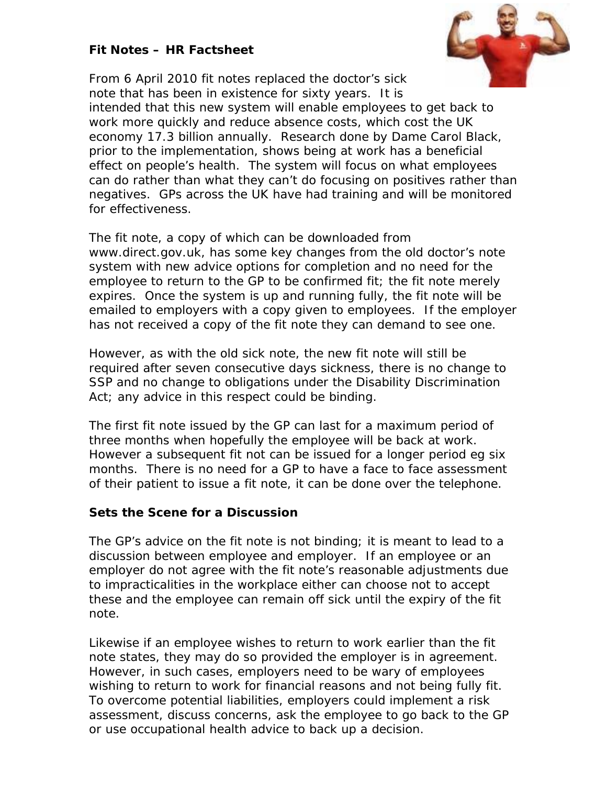# **Fit Notes – HR Factsheet**



From 6 April 2010 fit notes replaced the doctor's sick note that has been in existence for sixty years. It is intended that this new system will enable employees to get back to work more quickly and reduce absence costs, which cost the UK economy 17.3 billion annually. Research done by Dame Carol Black, prior to the implementation, shows being at work has a beneficial effect on people's health. The system will focus on what employees can do rather than what they can't do focusing on positives rather than negatives. GPs across the UK have had training and will be monitored for effectiveness.

The fit note, a copy of which can be downloaded from www.direct.gov.uk, has some key changes from the old doctor's note system with new advice options for completion and no need for the employee to return to the GP to be confirmed fit; the fit note merely expires. Once the system is up and running fully, the fit note will be emailed to employers with a copy given to employees. If the employer has not received a copy of the fit note they can demand to see one.

However, as with the old sick note, the new fit note will still be required after seven consecutive days sickness, there is no change to SSP and no change to obligations under the Disability Discrimination Act; any advice in this respect could be binding.

The first fit note issued by the GP can last for a maximum period of three months when hopefully the employee will be back at work. However a subsequent fit not can be issued for a longer period eg six months. There is no need for a GP to have a face to face assessment of their patient to issue a fit note, it can be done over the telephone.

# **Sets the Scene for a Discussion**

The GP's advice on the fit note is not binding; it is meant to lead to a discussion between employee and employer. If an employee or an employer do not agree with the fit note's reasonable adjustments due to impracticalities in the workplace either can choose not to accept these and the employee can remain off sick until the expiry of the fit note.

Likewise if an employee wishes to return to work earlier than the fit note states, they may do so provided the employer is in agreement. However, in such cases, employers need to be wary of employees wishing to return to work for financial reasons and not being fully fit. To overcome potential liabilities, employers could implement a risk assessment, discuss concerns, ask the employee to go back to the GP or use occupational health advice to back up a decision.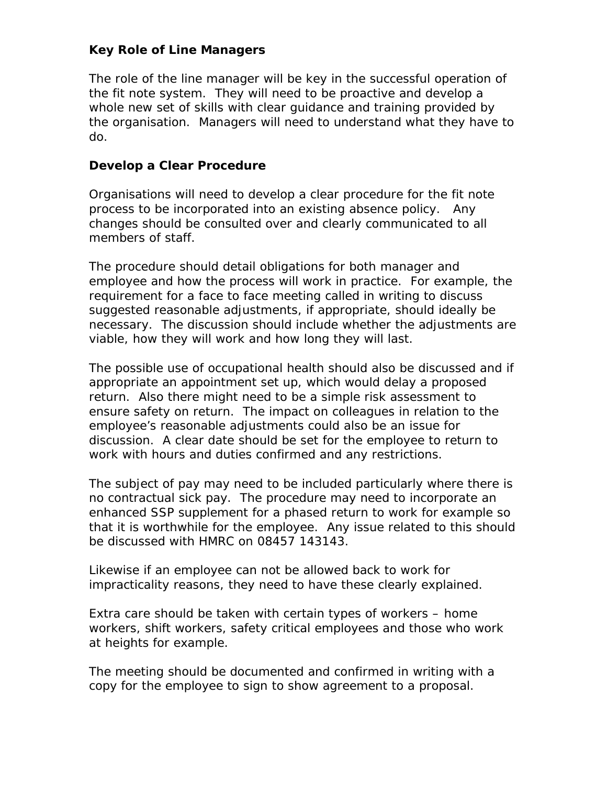## **Key Role of Line Managers**

The role of the line manager will be key in the successful operation of the fit note system. They will need to be proactive and develop a whole new set of skills with clear guidance and training provided by the organisation. Managers will need to understand what they have to do.

## **Develop a Clear Procedure**

Organisations will need to develop a clear procedure for the fit note process to be incorporated into an existing absence policy. Any changes should be consulted over and clearly communicated to all members of staff.

The procedure should detail obligations for both manager and employee and how the process will work in practice. For example, the requirement for a face to face meeting called in writing to discuss suggested reasonable adjustments, if appropriate, should ideally be necessary. The discussion should include whether the adjustments are viable, how they will work and how long they will last.

The possible use of occupational health should also be discussed and if appropriate an appointment set up, which would delay a proposed return. Also there might need to be a simple risk assessment to ensure safety on return. The impact on colleagues in relation to the employee's reasonable adjustments could also be an issue for discussion. A clear date should be set for the employee to return to work with hours and duties confirmed and any restrictions.

The subject of pay may need to be included particularly where there is no contractual sick pay. The procedure may need to incorporate an enhanced SSP supplement for a phased return to work for example so that it is worthwhile for the employee. Any issue related to this should be discussed with HMRC on 08457 143143.

Likewise if an employee can not be allowed back to work for impracticality reasons, they need to have these clearly explained.

Extra care should be taken with certain types of workers – home workers, shift workers, safety critical employees and those who work at heights for example.

The meeting should be documented and confirmed in writing with a copy for the employee to sign to show agreement to a proposal.